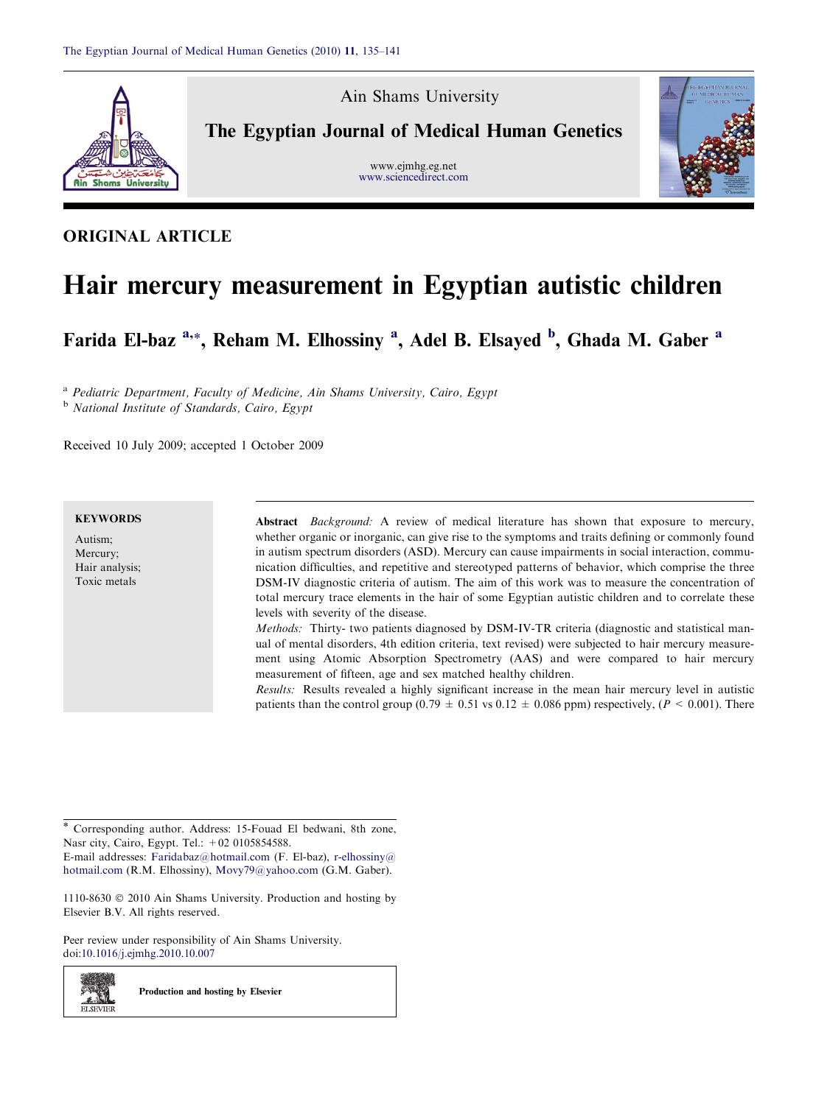

Ain Shams University

The Egyptian Journal of Medical Human Genetics

www.ejmhg.eg.net [www.sciencedirect.com](http://www.sciencedirect.com/science/journal/11108630)



# ORIGINAL ARTICLE

# Hair mercury measurement in Egyptian autistic children

Farida El-baz<sup>a,\*</sup>, Reham M. Elhossiny<sup>a</sup>, Adel B. Elsayed <sup>b</sup>, Ghada M. Gaber<sup>a</sup>

<sup>a</sup> Pediatric Department, Faculty of Medicine, Ain Shams University, Cairo, Egypt <sup>b</sup> National Institute of Standards, Cairo, Egypt

Received 10 July 2009; accepted 1 October 2009

#### **KEYWORDS**

Autism; Mercury; Hair analysis; Toxic metals

z. SI **ELSEVIEE** 

Abstract Background: A review of medical literature has shown that exposure to mercury, whether organic or inorganic, can give rise to the symptoms and traits defining or commonly found in autism spectrum disorders (ASD). Mercury can cause impairments in social interaction, communication difficulties, and repetitive and stereotyped patterns of behavior, which comprise the three DSM-IV diagnostic criteria of autism. The aim of this work was to measure the concentration of total mercury trace elements in the hair of some Egyptian autistic children and to correlate these levels with severity of the disease.

Methods: Thirty- two patients diagnosed by DSM-IV-TR criteria (diagnostic and statistical manual of mental disorders, 4th edition criteria, text revised) were subjected to hair mercury measurement using Atomic Absorption Spectrometry (AAS) and were compared to hair mercury measurement of fifteen, age and sex matched healthy children.

Results: Results revealed a highly significant increase in the mean hair mercury level in autistic patients than the control group (0.79  $\pm$  0.51 vs 0.12  $\pm$  0.086 ppm) respectively, (P < 0.001). There

\* Corresponding author. Address: 15-Fouad El bedwani, 8th zone, Nasr city, Cairo, Egypt. Tel.: +02 0105854588.

E-mail addresses: [Faridabaz@hotmail.com](mailto:Faridabaz@hotmail.com) (F. El-baz), [r-elhossiny@](mailto:r-elhossiny@ hotmail.com) [hotmail.com](mailto:r-elhossiny@ hotmail.com) (R.M. Elhossiny), [Movy79@yahoo.com](mailto:Movy79@yahoo.com) (G.M. Gaber).

 $1110-8630$   $\odot$  2010 Ain Shams University. Production and hosting by Elsevier B.V. All rights reserved.

Peer review under responsibility of Ain Shams University. doi[:10.1016/j.ejmhg.2010.10.007](http://dx.doi.org/10.1016/j.ejmhg.2010.10.007)

Production and hosting by Elsevier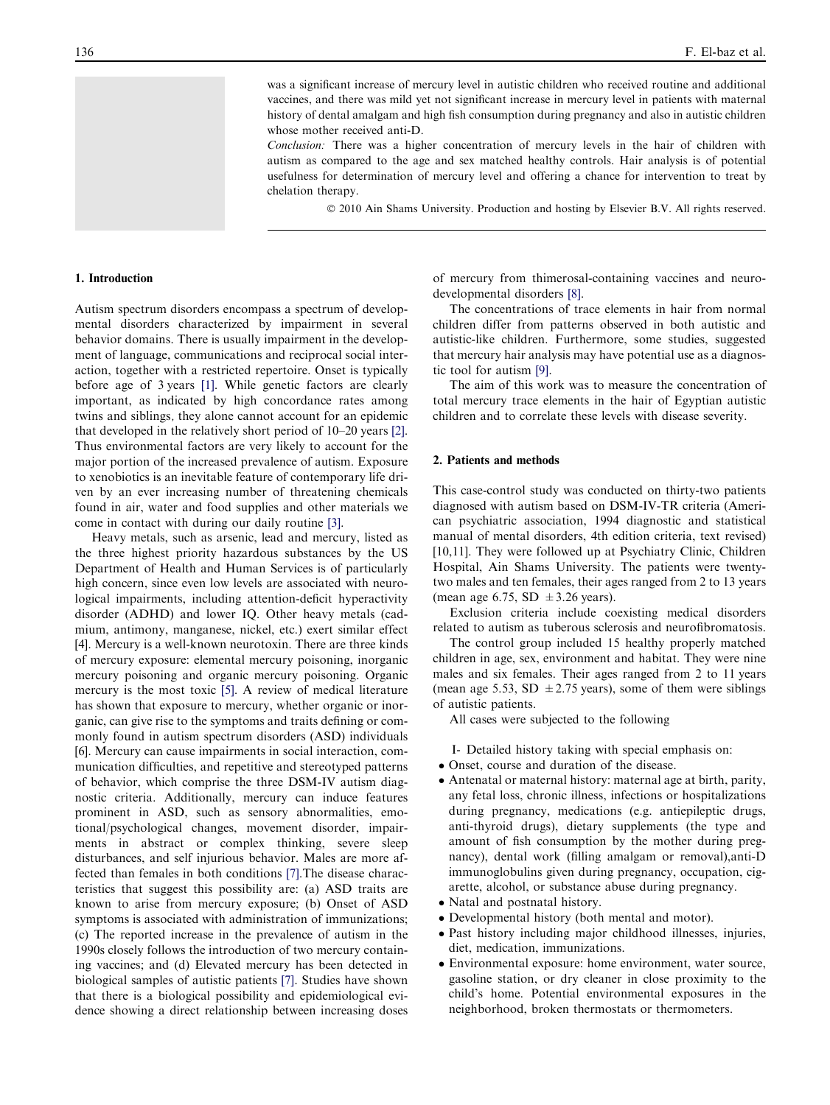was a significant increase of mercury level in autistic children who received routine and additional vaccines, and there was mild yet not significant increase in mercury level in patients with maternal history of dental amalgam and high fish consumption during pregnancy and also in autistic children whose mother received anti-D.

Conclusion: There was a higher concentration of mercury levels in the hair of children with autism as compared to the age and sex matched healthy controls. Hair analysis is of potential usefulness for determination of mercury level and offering a chance for intervention to treat by chelation therapy.

© 2010 Ain Shams University. Production and hosting by Elsevier B.V. All rights reserved.

#### 1. Introduction

Autism spectrum disorders encompass a spectrum of developmental disorders characterized by impairment in several behavior domains. There is usually impairment in the development of language, communications and reciprocal social interaction, together with a restricted repertoire. Onset is typically before age of 3 years [\[1\].](#page-5-0) While genetic factors are clearly important, as indicated by high concordance rates among twins and siblings, they alone cannot account for an epidemic that developed in the relatively short period of 10–20 years [\[2\]](#page-5-0). Thus environmental factors are very likely to account for the major portion of the increased prevalence of autism. Exposure to xenobiotics is an inevitable feature of contemporary life driven by an ever increasing number of threatening chemicals found in air, water and food supplies and other materials we come in contact with during our daily routine [\[3\].](#page-5-0)

Heavy metals, such as arsenic, lead and mercury, listed as the three highest priority hazardous substances by the US Department of Health and Human Services is of particularly high concern, since even low levels are associated with neurological impairments, including attention-deficit hyperactivity disorder (ADHD) and lower IQ. Other heavy metals (cadmium, antimony, manganese, nickel, etc.) exert similar effect [\[4\]](#page-5-0). Mercury is a well-known neurotoxin. There are three kinds of mercury exposure: elemental mercury poisoning, inorganic mercury poisoning and organic mercury poisoning. Organic mercury is the most toxic [\[5\]](#page-5-0). A review of medical literature has shown that exposure to mercury, whether organic or inorganic, can give rise to the symptoms and traits defining or commonly found in autism spectrum disorders (ASD) individuals [\[6\]](#page-5-0). Mercury can cause impairments in social interaction, communication difficulties, and repetitive and stereotyped patterns of behavior, which comprise the three DSM-IV autism diagnostic criteria. Additionally, mercury can induce features prominent in ASD, such as sensory abnormalities, emotional/psychological changes, movement disorder, impairments in abstract or complex thinking, severe sleep disturbances, and self injurious behavior. Males are more affected than females in both conditions [\[7\].](#page-5-0)The disease characteristics that suggest this possibility are: (a) ASD traits are known to arise from mercury exposure; (b) Onset of ASD symptoms is associated with administration of immunizations; (c) The reported increase in the prevalence of autism in the 1990s closely follows the introduction of two mercury containing vaccines; and (d) Elevated mercury has been detected in biological samples of autistic patients [\[7\]](#page-5-0). Studies have shown that there is a biological possibility and epidemiological evidence showing a direct relationship between increasing doses

of mercury from thimerosal-containing vaccines and neurodevelopmental disorders [\[8\].](#page-5-0)

The concentrations of trace elements in hair from normal children differ from patterns observed in both autistic and autistic-like children. Furthermore, some studies, suggested that mercury hair analysis may have potential use as a diagnostic tool for autism [\[9\].](#page-5-0)

The aim of this work was to measure the concentration of total mercury trace elements in the hair of Egyptian autistic children and to correlate these levels with disease severity.

# 2. Patients and methods

This case-control study was conducted on thirty-two patients diagnosed with autism based on DSM-IV-TR criteria (American psychiatric association, 1994 diagnostic and statistical manual of mental disorders, 4th edition criteria, text revised) [\[10,11\]](#page-5-0). They were followed up at Psychiatry Clinic, Children Hospital, Ain Shams University. The patients were twentytwo males and ten females, their ages ranged from 2 to 13 years (mean age 6.75, SD  $\pm$  3.26 years).

Exclusion criteria include coexisting medical disorders related to autism as tuberous sclerosis and neurofibromatosis.

The control group included 15 healthy properly matched children in age, sex, environment and habitat. They were nine males and six females. Their ages ranged from 2 to 11 years (mean age 5.53, SD  $\pm$  2.75 years), some of them were siblings of autistic patients.

All cases were subjected to the following

- I- Detailed history taking with special emphasis on:
- Onset, course and duration of the disease.
- Antenatal or maternal history: maternal age at birth, parity, any fetal loss, chronic illness, infections or hospitalizations during pregnancy, medications (e.g. antiepileptic drugs, anti-thyroid drugs), dietary supplements (the type and amount of fish consumption by the mother during pregnancy), dental work (filling amalgam or removal),anti-D immunoglobulins given during pregnancy, occupation, cigarette, alcohol, or substance abuse during pregnancy.
- Natal and postnatal history.
- Developmental history (both mental and motor).
- Past history including major childhood illnesses, injuries, diet, medication, immunizations.
- Environmental exposure: home environment, water source, gasoline station, or dry cleaner in close proximity to the child's home. Potential environmental exposures in the neighborhood, broken thermostats or thermometers.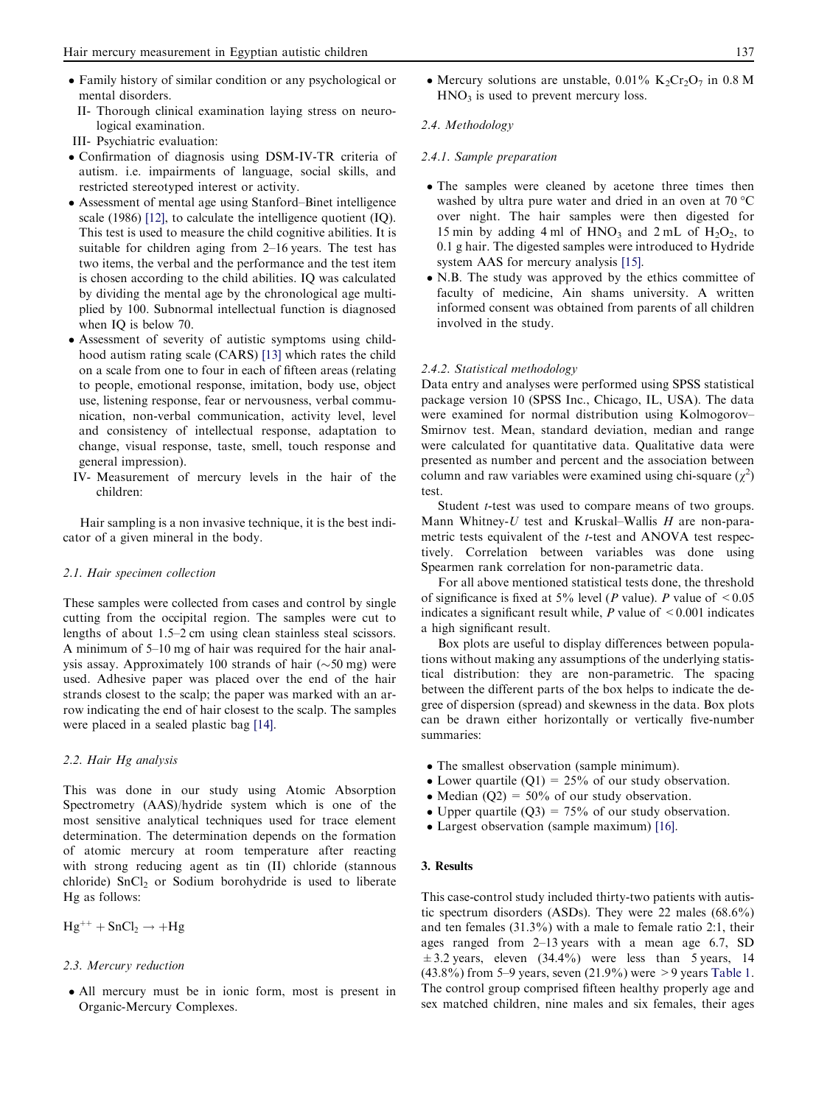- Family history of similar condition or any psychological or mental disorders.
- II- Thorough clinical examination laying stress on neurological examination.
- III- Psychiatric evaluation:
- Confirmation of diagnosis using DSM-IV-TR criteria of autism. i.e. impairments of language, social skills, and restricted stereotyped interest or activity.
- Assessment of mental age using Stanford–Binet intelligence scale (1986) [\[12\]](#page-5-0), to calculate the intelligence quotient (IQ). This test is used to measure the child cognitive abilities. It is suitable for children aging from 2–16 years. The test has two items, the verbal and the performance and the test item is chosen according to the child abilities. IQ was calculated by dividing the mental age by the chronological age multiplied by 100. Subnormal intellectual function is diagnosed when IO is below 70.
- Assessment of severity of autistic symptoms using childhood autism rating scale (CARS) [\[13\]](#page-5-0) which rates the child on a scale from one to four in each of fifteen areas (relating to people, emotional response, imitation, body use, object use, listening response, fear or nervousness, verbal communication, non-verbal communication, activity level, level and consistency of intellectual response, adaptation to change, visual response, taste, smell, touch response and general impression).
- IV- Measurement of mercury levels in the hair of the children:

Hair sampling is a non invasive technique, it is the best indicator of a given mineral in the body.

#### 2.1. Hair specimen collection

These samples were collected from cases and control by single cutting from the occipital region. The samples were cut to lengths of about 1.5–2 cm using clean stainless steal scissors. A minimum of 5–10 mg of hair was required for the hair analysis assay. Approximately 100 strands of hair  $(\sim 50 \text{ mg})$  were used. Adhesive paper was placed over the end of the hair strands closest to the scalp; the paper was marked with an arrow indicating the end of hair closest to the scalp. The samples were placed in a sealed plastic bag [\[14\]](#page-5-0).

# 2.2. Hair Hg analysis

This was done in our study using Atomic Absorption Spectrometry (AAS)/hydride system which is one of the most sensitive analytical techniques used for trace element determination. The determination depends on the formation of atomic mercury at room temperature after reacting with strong reducing agent as tin (II) chloride (stannous chloride)  $SnCl<sub>2</sub>$  or Sodium borohydride is used to liberate Hg as follows:

 $Hg^{++} + SnCl_2 \rightarrow +Hg$ 

# 2.3. Mercury reduction

- All mercury must be in ionic form, most is present in Organic-Mercury Complexes.

• Mercury solutions are unstable,  $0.01\%$  K<sub>2</sub>Cr<sub>2</sub>O<sub>7</sub> in 0.8 M  $HNO<sub>3</sub>$  is used to prevent mercury loss.

### 2.4. Methodology

#### 2.4.1. Sample preparation

- The samples were cleaned by acetone three times then washed by ultra pure water and dried in an oven at 70  $^{\circ}$ C over night. The hair samples were then digested for 15 min by adding 4 ml of  $HNO_3$  and 2 mL of  $H_2O_2$ , to 0.1 g hair. The digested samples were introduced to Hydride system AAS for mercury analysis [\[15\]](#page-5-0).
- N.B. The study was approved by the ethics committee of faculty of medicine, Ain shams university. A written informed consent was obtained from parents of all children involved in the study.

#### 2.4.2. Statistical methodology

Data entry and analyses were performed using SPSS statistical package version 10 (SPSS Inc., Chicago, IL, USA). The data were examined for normal distribution using Kolmogorov– Smirnov test. Mean, standard deviation, median and range were calculated for quantitative data. Qualitative data were presented as number and percent and the association between column and raw variables were examined using chi-square  $(\chi^2)$ test.

Student *t*-test was used to compare means of two groups. Mann Whitney-U test and Kruskal–Wallis  $H$  are non-parametric tests equivalent of the t-test and ANOVA test respectively. Correlation between variables was done using Spearmen rank correlation for non-parametric data.

For all above mentioned statistical tests done, the threshold of significance is fixed at 5% level (P value). P value of  $\leq 0.05$ indicates a significant result while,  $P$  value of  $\leq 0.001$  indicates a high significant result.

Box plots are useful to display differences between populations without making any assumptions of the underlying statistical distribution: they are non-parametric. The spacing between the different parts of the box helps to indicate the degree of dispersion (spread) and skewness in the data. Box plots can be drawn either horizontally or vertically five-number summaries:

- The smallest observation (sample minimum).
- Lower quartile  $(Q1) = 25\%$  of our study observation.
- Median  $(Q2) = 50\%$  of our study observation.
- Upper quartile  $(Q3) = 75\%$  of our study observation.
- Largest observation (sample maximum) [\[16\]](#page-5-0).

## 3. Results

This case-control study included thirty-two patients with autistic spectrum disorders (ASDs). They were 22 males (68.6%) and ten females (31.3%) with a male to female ratio 2:1, their ages ranged from 2–13 years with a mean age 6.7, SD  $\pm$ 3.2 years, eleven (34.4%) were less than 5 years, 14 (43.8%) from 5–9 years, seven  $(21.9\%)$  were > 9 years [Table 1](#page-3-0). The control group comprised fifteen healthy properly age and sex matched children, nine males and six females, their ages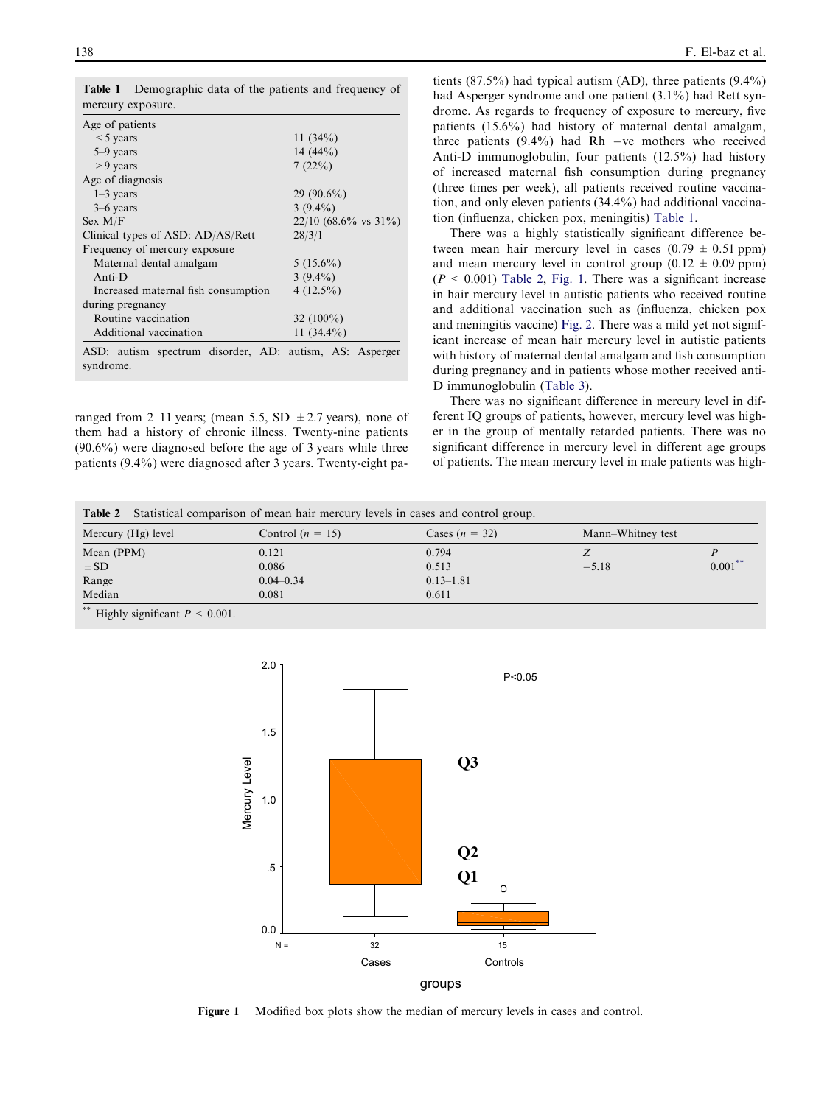| mercury exposure.                                                    |                        |  |  |  |  |
|----------------------------------------------------------------------|------------------------|--|--|--|--|
| Age of patients                                                      |                        |  |  |  |  |
| $<$ 5 years                                                          | 11 $(34%)$             |  |  |  |  |
| 5–9 years                                                            | 14 $(44\%)$            |  |  |  |  |
| $> 9$ years                                                          | 7(22%)                 |  |  |  |  |
| Age of diagnosis                                                     |                        |  |  |  |  |
| $1-3$ years                                                          | $29(90.6\%)$           |  |  |  |  |
| $3-6$ years                                                          | $3(9.4\%)$             |  |  |  |  |
| Sex M/F                                                              | $22/10$ (68.6% vs 31%) |  |  |  |  |
| Clinical types of ASD: AD/AS/Rett                                    | 28/3/1                 |  |  |  |  |
| Frequency of mercury exposure                                        |                        |  |  |  |  |
| Maternal dental amalgam                                              | $5(15.6\%)$            |  |  |  |  |
| $Anti-D$                                                             | $3(9.4\%)$             |  |  |  |  |
| Increased maternal fish consumption                                  | $4(12.5\%)$            |  |  |  |  |
| during pregnancy                                                     |                        |  |  |  |  |
| Routine vaccination                                                  | 32 $(100\%)$           |  |  |  |  |
| Additional vaccination                                               | 11 $(34.4\%)$          |  |  |  |  |
| ASD: autism spectrum disorder, AD: autism, AS: Asperger<br>syndrome. |                        |  |  |  |  |

<span id="page-3-0"></span>Table 1 Demographic data of the patients and frequency of mercury exposure.

ranged from 2–11 years; (mean 5.5, SD  $\pm$  2.7 years), none of them had a history of chronic illness. Twenty-nine patients (90.6%) were diagnosed before the age of 3 years while three patients (9.4%) were diagnosed after 3 years. Twenty-eight pa-

tients  $(87.5\%)$  had typical autism  $(AD)$ , three patients  $(9.4\%)$ had Asperger syndrome and one patient (3.1%) had Rett syndrome. As regards to frequency of exposure to mercury, five patients (15.6%) had history of maternal dental amalgam, three patients  $(9.4\%)$  had Rh -ve mothers who received Anti-D immunoglobulin, four patients (12.5%) had history of increased maternal fish consumption during pregnancy (three times per week), all patients received routine vaccination, and only eleven patients (34.4%) had additional vaccination (influenza, chicken pox, meningitis) Table 1.

There was a highly statistically significant difference between mean hair mercury level in cases  $(0.79 \pm 0.51$  ppm) and mean mercury level in control group  $(0.12 \pm 0.09 \text{ ppm})$  $(P < 0.001)$  Table 2, Fig. 1. There was a significant increase in hair mercury level in autistic patients who received routine and additional vaccination such as (influenza, chicken pox and meningitis vaccine) [Fig. 2.](#page-4-0) There was a mild yet not significant increase of mean hair mercury level in autistic patients with history of maternal dental amalgam and fish consumption during pregnancy and in patients whose mother received anti-D immunoglobulin ([Table 3\)](#page-4-0).

There was no significant difference in mercury level in different IQ groups of patients, however, mercury level was higher in the group of mentally retarded patients. There was no significant difference in mercury level in different age groups of patients. The mean mercury level in male patients was high-

| <b>Table 2</b> Statistical comparison of mean hair mercury levels in cases and control group. |                    |                  |         |                   |  |  |
|-----------------------------------------------------------------------------------------------|--------------------|------------------|---------|-------------------|--|--|
| Mercury (Hg) level                                                                            | Control $(n = 15)$ | Cases $(n = 32)$ |         | Mann-Whitney test |  |  |
| Mean (PPM)                                                                                    | 0.121              | 0.794            |         |                   |  |  |
| $\pm$ SD                                                                                      | 0.086              | 0.513            | $-5.18$ | $0.001$ *         |  |  |
| Range                                                                                         | $0.04 - 0.34$      | $0.13 - 1.81$    |         |                   |  |  |
| Median                                                                                        | 0.081              | 0.611            |         |                   |  |  |
| sic sic                                                                                       |                    |                  |         |                   |  |  |

Highly significant  $P \leq 0.001$ .



Figure 1 Modified box plots show the median of mercury levels in cases and control.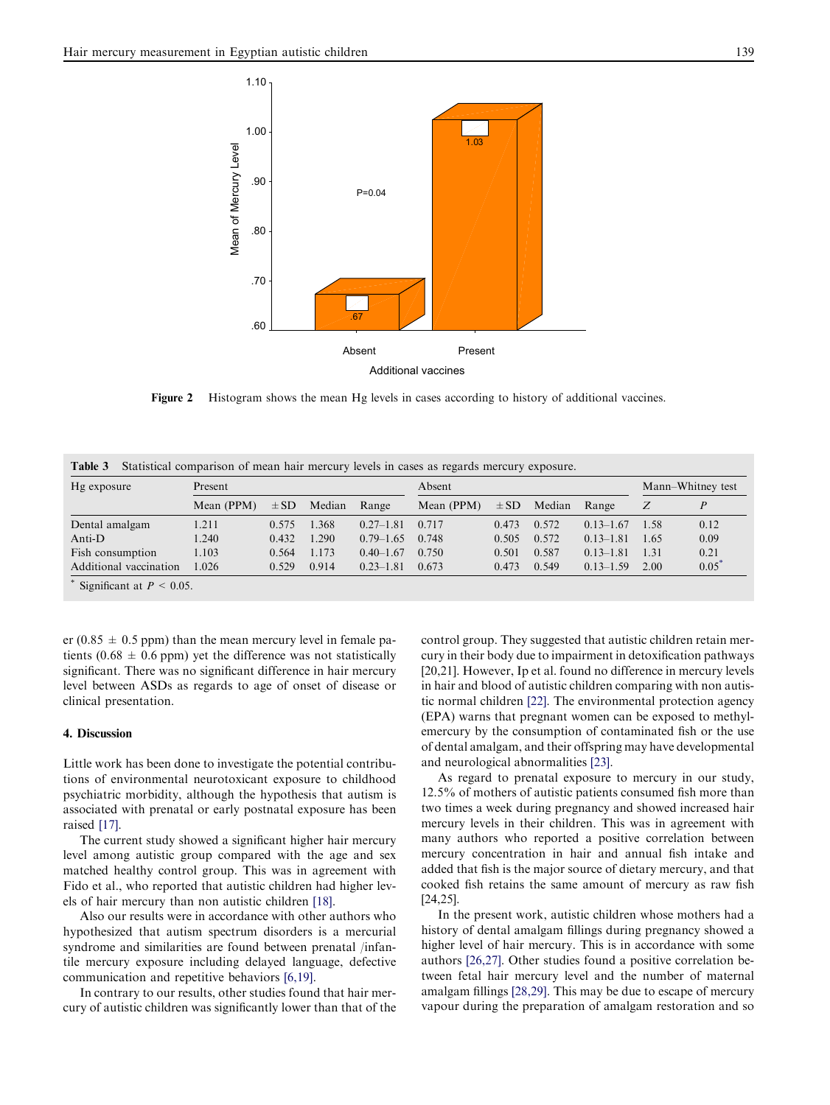<span id="page-4-0"></span>

Figure 2 Histogram shows the mean Hg levels in cases according to history of additional vaccines.

| Hg exposure            | Present    |          |        | Absent        |            |          | Mann–Whitney test |               |       |      |
|------------------------|------------|----------|--------|---------------|------------|----------|-------------------|---------------|-------|------|
|                        | Mean (PPM) | $\pm$ SD | Median | Range         | Mean (PPM) | $\pm$ SD | Median            | Range         | Z     | P    |
| Dental amalgam         | 1.211      | 0.575    | 1.368  | $0.27 - 1.81$ | 0.717      | 0.473    | 0.572             | $0.13 - 1.67$ | -1.58 | 0.12 |
| Anti-D                 | 1.240      | 0.432    | 1.290  | $0.79 - 1.65$ | 0.748      | 0.505    | 0.572             | $0.13 - 1.81$ | 1.65  | 0.09 |
| Fish consumption       | 1.103      | 0.564    | 1.173  | $0.40 - 1.67$ | 0.750      | 0.501    | 0.587             | $0.13 - 1.81$ | 1.31  | 0.21 |
| Additional vaccination | 1.026      | 0.529    | 0.914  | $0.23 - 1.81$ | 0.673      | 0.473    | 0.549             | $0.13 - 1.59$ | 2.00  | 0.05 |

er (0.85  $\pm$  0.5 ppm) than the mean mercury level in female patients (0.68  $\pm$  0.6 ppm) yet the difference was not statistically significant. There was no significant difference in hair mercury level between ASDs as regards to age of onset of disease or clinical presentation.

#### 4. Discussion

Little work has been done to investigate the potential contributions of environmental neurotoxicant exposure to childhood psychiatric morbidity, although the hypothesis that autism is associated with prenatal or early postnatal exposure has been raised [\[17\].](#page-5-0)

The current study showed a significant higher hair mercury level among autistic group compared with the age and sex matched healthy control group. This was in agreement with Fido et al., who reported that autistic children had higher levels of hair mercury than non autistic children [\[18\].](#page-5-0)

Also our results were in accordance with other authors who hypothesized that autism spectrum disorders is a mercurial syndrome and similarities are found between prenatal /infantile mercury exposure including delayed language, defective communication and repetitive behaviors [\[6,19\].](#page-5-0)

In contrary to our results, other studies found that hair mercury of autistic children was significantly lower than that of the control group. They suggested that autistic children retain mercury in their body due to impairment in detoxification pathways [\[20,21\].](#page-5-0) However, Ip et al. found no difference in mercury levels in hair and blood of autistic children comparing with non autistic normal children [\[22\]](#page-6-0). The environmental protection agency (EPA) warns that pregnant women can be exposed to methylemercury by the consumption of contaminated fish or the use of dental amalgam, and their offspring may have developmental and neurological abnormalities [\[23\].](#page-6-0)

As regard to prenatal exposure to mercury in our study, 12.5% of mothers of autistic patients consumed fish more than two times a week during pregnancy and showed increased hair mercury levels in their children. This was in agreement with many authors who reported a positive correlation between mercury concentration in hair and annual fish intake and added that fish is the major source of dietary mercury, and that cooked fish retains the same amount of mercury as raw fish [\[24,25\].](#page-6-0)

In the present work, autistic children whose mothers had a history of dental amalgam fillings during pregnancy showed a higher level of hair mercury. This is in accordance with some authors [\[26,27\].](#page-6-0) Other studies found a positive correlation between fetal hair mercury level and the number of maternal amalgam fillings [\[28,29\]](#page-6-0). This may be due to escape of mercury vapour during the preparation of amalgam restoration and so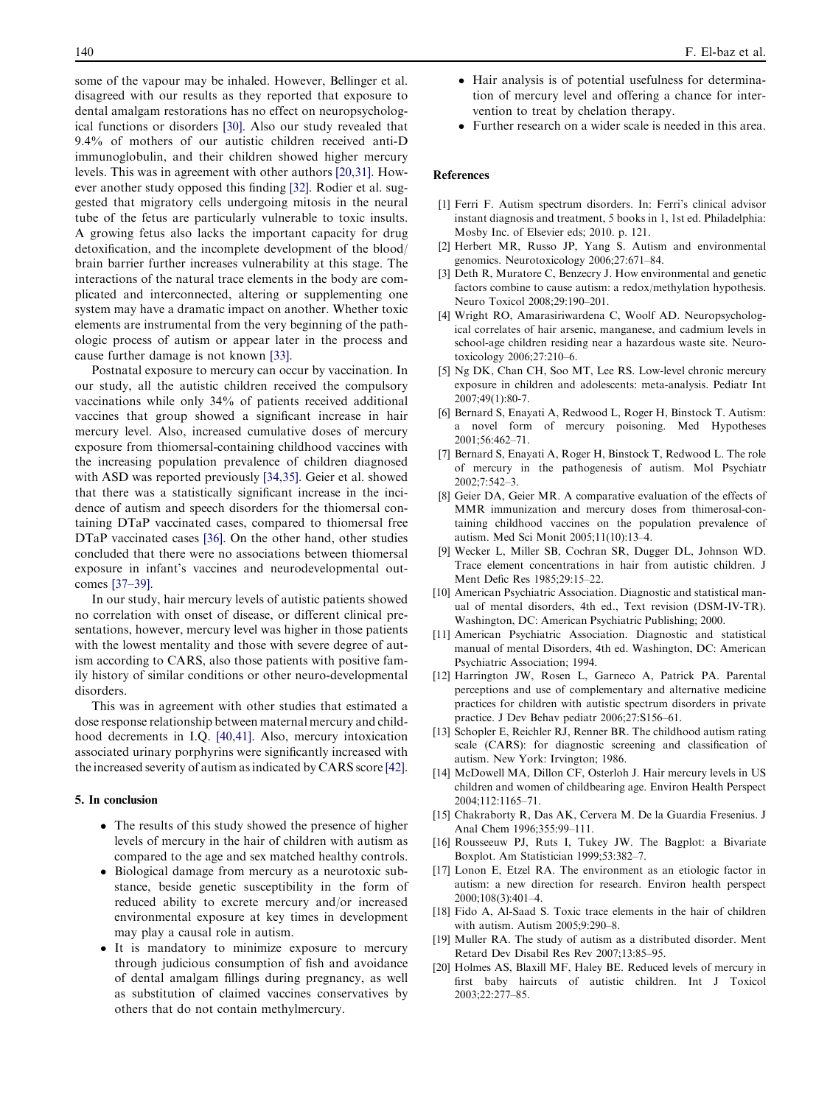<span id="page-5-0"></span>some of the vapour may be inhaled. However, Bellinger et al. disagreed with our results as they reported that exposure to dental amalgam restorations has no effect on neuropsychological functions or disorders [\[30\].](#page-6-0) Also our study revealed that 9.4% of mothers of our autistic children received anti-D immunoglobulin, and their children showed higher mercury levels. This was in agreement with other authors [20,31]. However another study opposed this finding [\[32\].](#page-6-0) Rodier et al. suggested that migratory cells undergoing mitosis in the neural tube of the fetus are particularly vulnerable to toxic insults. A growing fetus also lacks the important capacity for drug detoxification, and the incomplete development of the blood/ brain barrier further increases vulnerability at this stage. The interactions of the natural trace elements in the body are complicated and interconnected, altering or supplementing one system may have a dramatic impact on another. Whether toxic elements are instrumental from the very beginning of the pathologic process of autism or appear later in the process and cause further damage is not known [\[33\].](#page-6-0)

Postnatal exposure to mercury can occur by vaccination. In our study, all the autistic children received the compulsory vaccinations while only 34% of patients received additional vaccines that group showed a significant increase in hair mercury level. Also, increased cumulative doses of mercury exposure from thiomersal-containing childhood vaccines with the increasing population prevalence of children diagnosed with ASD was reported previously [\[34,35\]](#page-6-0). Geier et al. showed that there was a statistically significant increase in the incidence of autism and speech disorders for the thiomersal containing DTaP vaccinated cases, compared to thiomersal free DTaP vaccinated cases [\[36\].](#page-6-0) On the other hand, other studies concluded that there were no associations between thiomersal exposure in infant's vaccines and neurodevelopmental outcomes [\[37–39\].](#page-6-0)

In our study, hair mercury levels of autistic patients showed no correlation with onset of disease, or different clinical presentations, however, mercury level was higher in those patients with the lowest mentality and those with severe degree of autism according to CARS, also those patients with positive family history of similar conditions or other neuro-developmental disorders.

This was in agreement with other studies that estimated a dose response relationship between maternal mercury and childhood decrements in I.Q. [\[40,41\].](#page-6-0) Also, mercury intoxication associated urinary porphyrins were significantly increased with the increased severity of autism as indicated by CARS score [\[42\]](#page-6-0).

#### 5. In conclusion

- The results of this study showed the presence of higher levels of mercury in the hair of children with autism as compared to the age and sex matched healthy controls.
- Biological damage from mercury as a neurotoxic substance, beside genetic susceptibility in the form of reduced ability to excrete mercury and/or increased environmental exposure at key times in development may play a causal role in autism.
- It is mandatory to minimize exposure to mercury through judicious consumption of fish and avoidance of dental amalgam fillings during pregnancy, as well as substitution of claimed vaccines conservatives by others that do not contain methylmercury.
- Hair analysis is of potential usefulness for determination of mercury level and offering a chance for intervention to treat by chelation therapy.
- Further research on a wider scale is needed in this area.

#### References

- [1] Ferri F. Autism spectrum disorders. In: Ferri's clinical advisor instant diagnosis and treatment, 5 books in 1, 1st ed. Philadelphia: Mosby Inc. of Elsevier eds; 2010. p. 121.
- [2] Herbert MR, Russo JP, Yang S. Autism and environmental genomics. Neurotoxicology 2006;27:671–84.
- [3] Deth R, Muratore C, Benzecry J. How environmental and genetic factors combine to cause autism: a redox/methylation hypothesis. Neuro Toxicol 2008;29:190–201.
- [4] Wright RO, Amarasiriwardena C, Woolf AD. Neuropsychological correlates of hair arsenic, manganese, and cadmium levels in school-age children residing near a hazardous waste site. Neurotoxicology 2006;27:210–6.
- [5] Ng DK, Chan CH, Soo MT, Lee RS. Low-level chronic mercury exposure in children and adolescents: meta-analysis. Pediatr Int 2007;49(1):80-7.
- [6] Bernard S, Enayati A, Redwood L, Roger H, Binstock T. Autism: a novel form of mercury poisoning. Med Hypotheses 2001;56:462–71.
- [7] Bernard S, Enayati A, Roger H, Binstock T, Redwood L. The role of mercury in the pathogenesis of autism. Mol Psychiatr 2002;7:542–3.
- [8] Geier DA, Geier MR. A comparative evaluation of the effects of MMR immunization and mercury doses from thimerosal-containing childhood vaccines on the population prevalence of autism. Med Sci Monit 2005;11(10):13–4.
- Wecker L, Miller SB, Cochran SR, Dugger DL, Johnson WD. Trace element concentrations in hair from autistic children. J Ment Defic Res 1985;29:15–22.
- [10] American Psychiatric Association. Diagnostic and statistical manual of mental disorders, 4th ed., Text revision (DSM-IV-TR). Washington, DC: American Psychiatric Publishing; 2000.
- [11] American Psychiatric Association. Diagnostic and statistical manual of mental Disorders, 4th ed. Washington, DC: American Psychiatric Association; 1994.
- [12] Harrington JW, Rosen L, Garneco A, Patrick PA. Parental perceptions and use of complementary and alternative medicine practices for children with autistic spectrum disorders in private practice. J Dev Behav pediatr 2006;27:S156–61.
- [13] Schopler E, Reichler RJ, Renner BR. The childhood autism rating scale (CARS): for diagnostic screening and classification of autism. New York: Irvington; 1986.
- [14] McDowell MA, Dillon CF, Osterloh J. Hair mercury levels in US children and women of childbearing age. Environ Health Perspect 2004;112:1165–71.
- [15] Chakraborty R, Das AK, Cervera M. De la Guardia Fresenius. J Anal Chem 1996;355:99–111.
- [16] Rousseeuw PJ, Ruts I, Tukey JW. The Bagplot: a Bivariate Boxplot. Am Statistician 1999;53:382–7.
- [17] Lonon E, Etzel RA. The environment as an etiologic factor in autism: a new direction for research. Environ health perspect 2000;108(3):401–4.
- [18] Fido A, Al-Saad S. Toxic trace elements in the hair of children with autism. Autism 2005;9:290–8.
- [19] Muller RA. The study of autism as a distributed disorder. Ment Retard Dev Disabil Res Rev 2007;13:85–95.
- [20] Holmes AS, Blaxill MF, Haley BE. Reduced levels of mercury in first baby haircuts of autistic children. Int J Toxicol 2003;22:277–85.